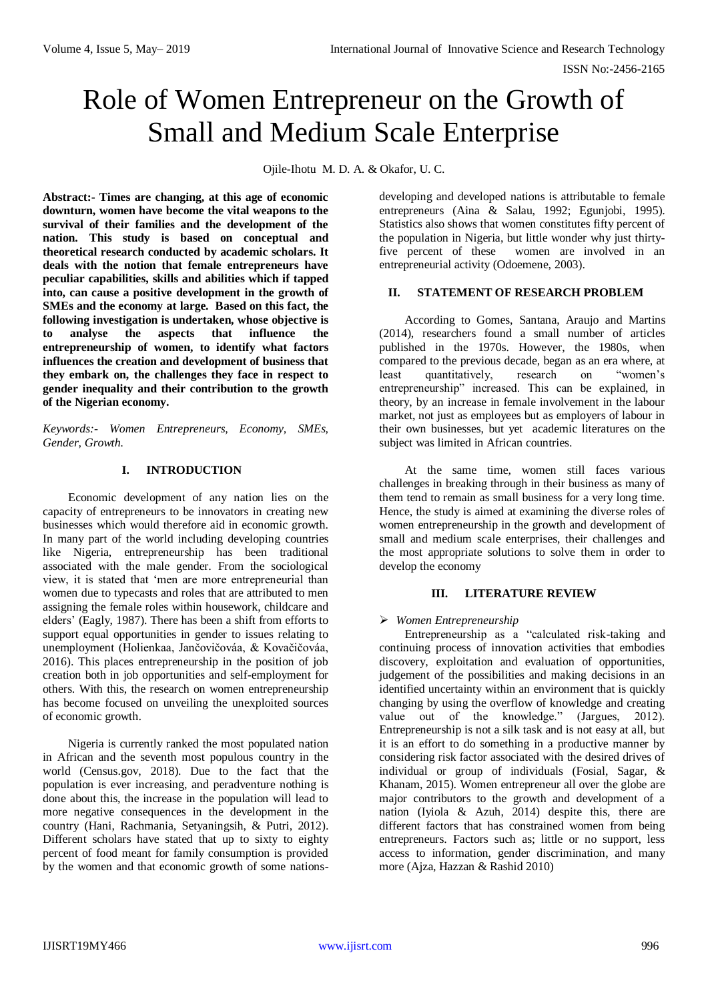# Role of Women Entrepreneur on the Growth of Small and Medium Scale Enterprise

Ojile-Ihotu M. D. A. & Okafor, U. C.

**Abstract:- Times are changing, at this age of economic downturn, women have become the vital weapons to the survival of their families and the development of the nation. This study is based on conceptual and theoretical research conducted by academic scholars. It deals with the notion that female entrepreneurs have peculiar capabilities, skills and abilities which if tapped into, can cause a positive development in the growth of SMEs and the economy at large. Based on this fact, the following investigation is undertaken, whose objective is to analyse the aspects that influence the entrepreneurship of women, to identify what factors influences the creation and development of business that they embark on, the challenges they face in respect to gender inequality and their contribution to the growth of the Nigerian economy.**

*Keywords:- Women Entrepreneurs, Economy, SMEs, Gender, Growth.*

## **I. INTRODUCTION**

Economic development of any nation lies on the capacity of entrepreneurs to be innovators in creating new businesses which would therefore aid in economic growth. In many part of the world including developing countries like Nigeria, entrepreneurship has been traditional associated with the male gender. From the sociological view, it is stated that 'men are more entrepreneurial than women due to typecasts and roles that are attributed to men assigning the female roles within housework, childcare and elders' (Eagly, 1987). There has been a shift from efforts to support equal opportunities in gender to issues relating to unemployment (Holienkaa, Jančovičováa, & Kovačičováa, 2016). This places entrepreneurship in the position of job creation both in job opportunities and self-employment for others. With this, the research on women entrepreneurship has become focused on unveiling the unexploited sources of economic growth.

Nigeria is currently ranked the most populated nation in African and the seventh most populous country in the world (Census.gov, 2018). Due to the fact that the population is ever increasing, and peradventure nothing is done about this, the increase in the population will lead to more negative consequences in the development in the country (Hani, Rachmania, Setyaningsih, & Putri, 2012). Different scholars have stated that up to sixty to eighty percent of food meant for family consumption is provided by the women and that economic growth of some nationsdeveloping and developed nations is attributable to female entrepreneurs (Aina & Salau, 1992; Egunjobi, 1995). Statistics also shows that women constitutes fifty percent of the population in Nigeria, but little wonder why just thirtyfive percent of these women are involved in an entrepreneurial activity (Odoemene, 2003).

## **II. STATEMENT OF RESEARCH PROBLEM**

According to Gomes, Santana, Araujo and Martins (2014), researchers found a small number of articles published in the 1970s. However, the 1980s, when compared to the previous decade, began as an era where, at least quantitatively, research on "women's entrepreneurship" increased. This can be explained, in theory, by an increase in female involvement in the labour market, not just as employees but as employers of labour in their own businesses, but yet academic literatures on the subject was limited in African countries.

At the same time, women still faces various challenges in breaking through in their business as many of them tend to remain as small business for a very long time. Hence, the study is aimed at examining the diverse roles of women entrepreneurship in the growth and development of small and medium scale enterprises, their challenges and the most appropriate solutions to solve them in order to develop the economy

## **III. LITERATURE REVIEW**

## *Women Entrepreneurship*

Entrepreneurship as a "calculated risk-taking and continuing process of innovation activities that embodies discovery, exploitation and evaluation of opportunities, judgement of the possibilities and making decisions in an identified uncertainty within an environment that is quickly changing by using the overflow of knowledge and creating value out of the knowledge." (Jargues, 2012). Entrepreneurship is not a silk task and is not easy at all, but it is an effort to do something in a productive manner by considering risk factor associated with the desired drives of individual or group of individuals (Fosial, Sagar, & Khanam, 2015). Women entrepreneur all over the globe are major contributors to the growth and development of a nation (Iyiola & Azuh, 2014) despite this, there are different factors that has constrained women from being entrepreneurs. Factors such as; little or no support, less access to information, gender discrimination, and many more (Ajza, Hazzan & Rashid 2010)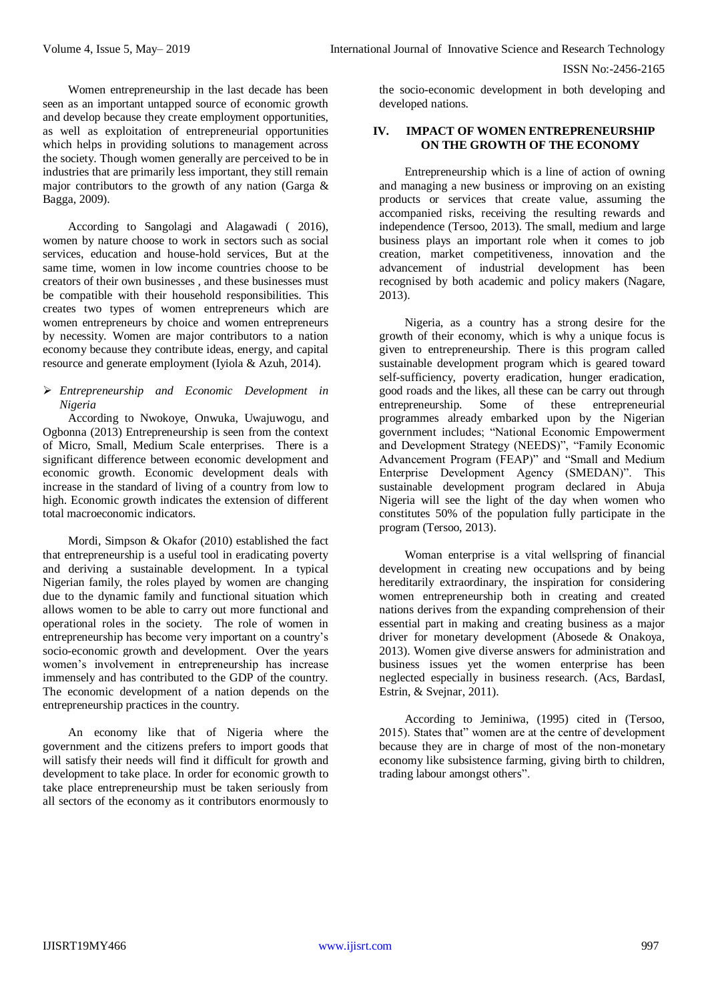Women entrepreneurship in the last decade has been seen as an important untapped source of economic growth and develop because they create employment opportunities, as well as exploitation of entrepreneurial opportunities which helps in providing solutions to management across the society. Though women generally are perceived to be in industries that are primarily less important, they still remain major contributors to the growth of any nation (Garga & Bagga, 2009).

According to Sangolagi and Alagawadi ( 2016), women by nature choose to work in sectors such as social services, education and house-hold services, But at the same time, women in low income countries choose to be creators of their own businesses , and these businesses must be compatible with their household responsibilities. This creates two types of women entrepreneurs which are women entrepreneurs by choice and women entrepreneurs by necessity. Women are major contributors to a nation economy because they contribute ideas, energy, and capital resource and generate employment (Iyiola & Azuh, 2014).

#### *Entrepreneurship and Economic Development in Nigeria*

According to Nwokoye, Onwuka, Uwajuwogu, and Ogbonna (2013) Entrepreneurship is seen from the context of Micro, Small, Medium Scale enterprises. There is a significant difference between economic development and economic growth. Economic development deals with increase in the standard of living of a country from low to high. Economic growth indicates the extension of different total macroeconomic indicators.

Mordi, Simpson & Okafor (2010) established the fact that entrepreneurship is a useful tool in eradicating poverty and deriving a sustainable development. In a typical Nigerian family, the roles played by women are changing due to the dynamic family and functional situation which allows women to be able to carry out more functional and operational roles in the society. The role of women in entrepreneurship has become very important on a country's socio-economic growth and development. Over the years women's involvement in entrepreneurship has increase immensely and has contributed to the GDP of the country. The economic development of a nation depends on the entrepreneurship practices in the country.

An economy like that of Nigeria where the government and the citizens prefers to import goods that will satisfy their needs will find it difficult for growth and development to take place. In order for economic growth to take place entrepreneurship must be taken seriously from all sectors of the economy as it contributors enormously to

the socio-economic development in both developing and developed nations.

## **IV. IMPACT OF WOMEN ENTREPRENEURSHIP ON THE GROWTH OF THE ECONOMY**

Entrepreneurship which is a line of action of owning and managing a new business or improving on an existing products or services that create value, assuming the accompanied risks, receiving the resulting rewards and independence (Tersoo, 2013). The small, medium and large business plays an important role when it comes to job creation, market competitiveness, innovation and the advancement of industrial development has been recognised by both academic and policy makers (Nagare, 2013).

Nigeria, as a country has a strong desire for the growth of their economy, which is why a unique focus is given to entrepreneurship. There is this program called sustainable development program which is geared toward self-sufficiency, poverty eradication, hunger eradication, good roads and the likes, all these can be carry out through entrepreneurship. Some of these entrepreneurial programmes already embarked upon by the Nigerian government includes; "National Economic Empowerment and Development Strategy (NEEDS)", "Family Economic Advancement Program (FEAP)" and "Small and Medium Enterprise Development Agency (SMEDAN)". This sustainable development program declared in Abuja Nigeria will see the light of the day when women who constitutes 50% of the population fully participate in the program (Tersoo, 2013).

Woman enterprise is a vital wellspring of financial development in creating new occupations and by being hereditarily extraordinary, the inspiration for considering women entrepreneurship both in creating and created nations derives from the expanding comprehension of their essential part in making and creating business as a major driver for monetary development (Abosede & Onakoya, 2013). Women give diverse answers for administration and business issues yet the women enterprise has been neglected especially in business research. (Acs, BardasI, Estrin, & Svejnar, 2011).

According to Jeminiwa, (1995) cited in (Tersoo, 2015). States that" women are at the centre of development because they are in charge of most of the non-monetary economy like subsistence farming, giving birth to children, trading labour amongst others".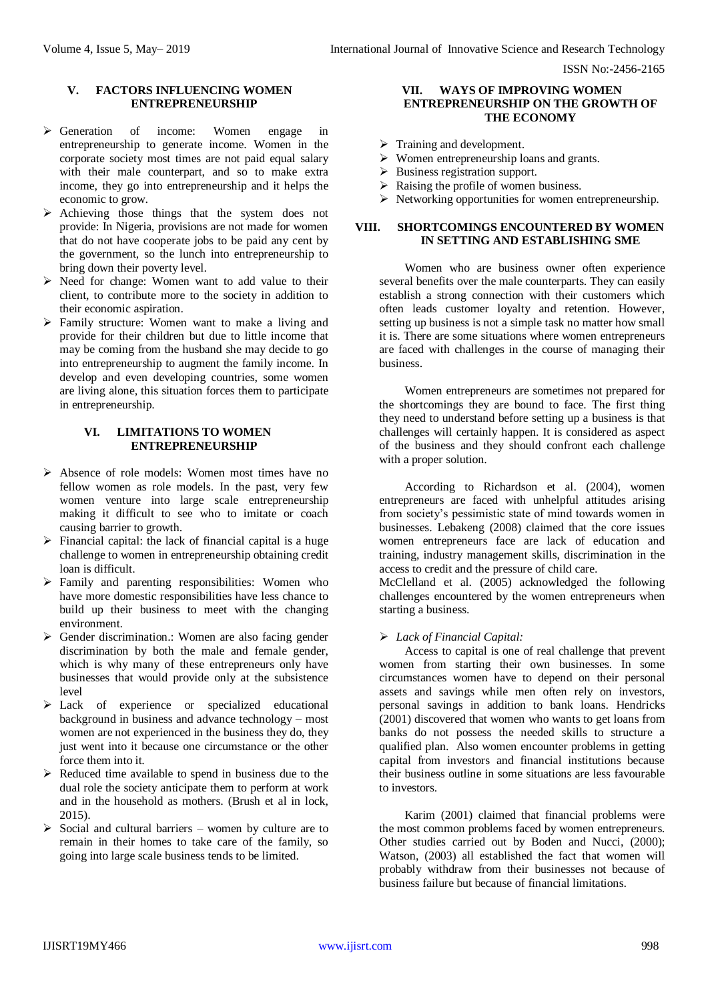#### **V. FACTORS INFLUENCING WOMEN ENTREPRENEURSHIP**

- Generation of income: Women engage in entrepreneurship to generate income. Women in the corporate society most times are not paid equal salary with their male counterpart, and so to make extra income, they go into entrepreneurship and it helps the economic to grow.
- $\triangleright$  Achieving those things that the system does not provide: In Nigeria, provisions are not made for women that do not have cooperate jobs to be paid any cent by the government, so the lunch into entrepreneurship to bring down their poverty level.
- $\triangleright$  Need for change: Women want to add value to their client, to contribute more to the society in addition to their economic aspiration.
- $\triangleright$  Family structure: Women want to make a living and provide for their children but due to little income that may be coming from the husband she may decide to go into entrepreneurship to augment the family income. In develop and even developing countries, some women are living alone, this situation forces them to participate in entrepreneurship.

## **VI. LIMITATIONS TO WOMEN ENTREPRENEURSHIP**

- Absence of role models: Women most times have no fellow women as role models. In the past, very few women venture into large scale entrepreneurship making it difficult to see who to imitate or coach causing barrier to growth.
- $\triangleright$  Financial capital: the lack of financial capital is a huge challenge to women in entrepreneurship obtaining credit loan is difficult.
- $\triangleright$  Family and parenting responsibilities: Women who have more domestic responsibilities have less chance to build up their business to meet with the changing environment.
- $\triangleright$  Gender discrimination.: Women are also facing gender discrimination by both the male and female gender, which is why many of these entrepreneurs only have businesses that would provide only at the subsistence level
- Lack of experience or specialized educational background in business and advance technology – most women are not experienced in the business they do, they just went into it because one circumstance or the other force them into it.
- $\triangleright$  Reduced time available to spend in business due to the dual role the society anticipate them to perform at work and in the household as mothers. (Brush et al in lock, 2015).
- $\triangleright$  Social and cultural barriers women by culture are to remain in their homes to take care of the family, so going into large scale business tends to be limited.

#### **VII. WAYS OF IMPROVING WOMEN ENTREPRENEURSHIP ON THE GROWTH OF THE ECONOMY**

- $\triangleright$  Training and development.
- Women entrepreneurship loans and grants.
- $\triangleright$  Business registration support.
- $\triangleright$  Raising the profile of women business.
- $\triangleright$  Networking opportunities for women entrepreneurship.

## **VIII. SHORTCOMINGS ENCOUNTERED BY WOMEN IN SETTING AND ESTABLISHING SME**

Women who are business owner often experience several benefits over the male counterparts. They can easily establish a strong connection with their customers which often leads customer loyalty and retention. However, setting up business is not a simple task no matter how small it is. There are some situations where women entrepreneurs are faced with challenges in the course of managing their business.

Women entrepreneurs are sometimes not prepared for the shortcomings they are bound to face. The first thing they need to understand before setting up a business is that challenges will certainly happen. It is considered as aspect of the business and they should confront each challenge with a proper solution.

According to Richardson et al. (2004), women entrepreneurs are faced with unhelpful attitudes arising from society's pessimistic state of mind towards women in businesses. Lebakeng (2008) claimed that the core issues women entrepreneurs face are lack of education and training, industry management skills, discrimination in the access to credit and the pressure of child care.

McClelland et al. (2005) acknowledged the following challenges encountered by the women entrepreneurs when starting a business.

## *Lack of Financial Capital:*

Access to capital is one of real challenge that prevent women from starting their own businesses. In some circumstances women have to depend on their personal assets and savings while men often rely on investors, personal savings in addition to bank loans. Hendricks (2001) discovered that women who wants to get loans from banks do not possess the needed skills to structure a qualified plan. Also women encounter problems in getting capital from investors and financial institutions because their business outline in some situations are less favourable to investors.

Karim (2001) claimed that financial problems were the most common problems faced by women entrepreneurs. Other studies carried out by Boden and Nucci, (2000); Watson, (2003) all established the fact that women will probably withdraw from their businesses not because of business failure but because of financial limitations.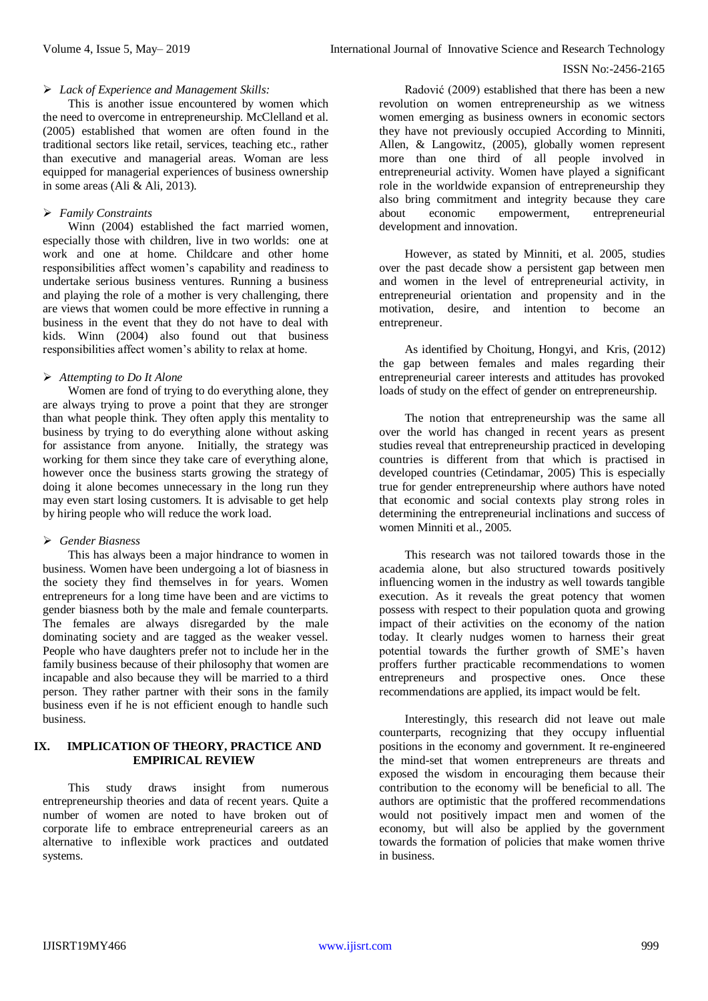#### *Lack of Experience and Management Skills:*

This is another issue encountered by women which the need to overcome in entrepreneurship. McClelland et al. (2005) established that women are often found in the traditional sectors like retail, services, teaching etc., rather than executive and managerial areas. Woman are less equipped for managerial experiences of business ownership in some areas (Ali & Ali, 2013).

## *Family Constraints*

Winn (2004) established the fact married women, especially those with children, live in two worlds: one at work and one at home. Childcare and other home responsibilities affect women's capability and readiness to undertake serious business ventures. Running a business and playing the role of a mother is very challenging, there are views that women could be more effective in running a business in the event that they do not have to deal with kids. Winn (2004) also found out that business responsibilities affect women's ability to relax at home.

## *Attempting to Do It Alone*

Women are fond of trying to do everything alone, they are always trying to prove a point that they are stronger than what people think. They often apply this mentality to business by trying to do everything alone without asking for assistance from anyone. Initially, the strategy was working for them since they take care of everything alone, however once the business starts growing the strategy of doing it alone becomes unnecessary in the long run they may even start losing customers. It is advisable to get help by hiring people who will reduce the work load.

## *Gender Biasness*

This has always been a major hindrance to women in business. Women have been undergoing a lot of biasness in the society they find themselves in for years. Women entrepreneurs for a long time have been and are victims to gender biasness both by the male and female counterparts. The females are always disregarded by the male dominating society and are tagged as the weaker vessel. People who have daughters prefer not to include her in the family business because of their philosophy that women are incapable and also because they will be married to a third person. They rather partner with their sons in the family business even if he is not efficient enough to handle such business.

## **IX. IMPLICATION OF THEORY, PRACTICE AND EMPIRICAL REVIEW**

This study draws insight from numerous entrepreneurship theories and data of recent years. Quite a number of women are noted to have broken out of corporate life to embrace entrepreneurial careers as an alternative to inflexible work practices and outdated systems.

Radović (2009) established that there has been a new revolution on women entrepreneurship as we witness women emerging as business owners in economic sectors they have not previously occupied According to Minniti, Allen, & Langowitz, (2005), globally women represent more than one third of all people involved in entrepreneurial activity. Women have played a significant role in the worldwide expansion of entrepreneurship they also bring commitment and integrity because they care about economic empowerment, entrepreneurial development and innovation.

However, as stated by Minniti, et al. 2005, studies over the past decade show a persistent gap between men and women in the level of entrepreneurial activity, in entrepreneurial orientation and propensity and in the motivation, desire, and intention to become an entrepreneur.

As identified by Choitung, Hongyi, and Kris, (2012) the gap between females and males regarding their entrepreneurial career interests and attitudes has provoked loads of study on the effect of gender on entrepreneurship.

The notion that entrepreneurship was the same all over the world has changed in recent years as present studies reveal that entrepreneurship practiced in developing countries is different from that which is practised in developed countries (Cetindamar, 2005) This is especially true for gender entrepreneurship where authors have noted that economic and social contexts play strong roles in determining the entrepreneurial inclinations and success of women Minniti et al., 2005.

This research was not tailored towards those in the academia alone, but also structured towards positively influencing women in the industry as well towards tangible execution. As it reveals the great potency that women possess with respect to their population quota and growing impact of their activities on the economy of the nation today. It clearly nudges women to harness their great potential towards the further growth of SME's haven proffers further practicable recommendations to women entrepreneurs and prospective ones. Once these recommendations are applied, its impact would be felt.

Interestingly, this research did not leave out male counterparts, recognizing that they occupy influential positions in the economy and government. It re-engineered the mind-set that women entrepreneurs are threats and exposed the wisdom in encouraging them because their contribution to the economy will be beneficial to all. The authors are optimistic that the proffered recommendations would not positively impact men and women of the economy, but will also be applied by the government towards the formation of policies that make women thrive in business.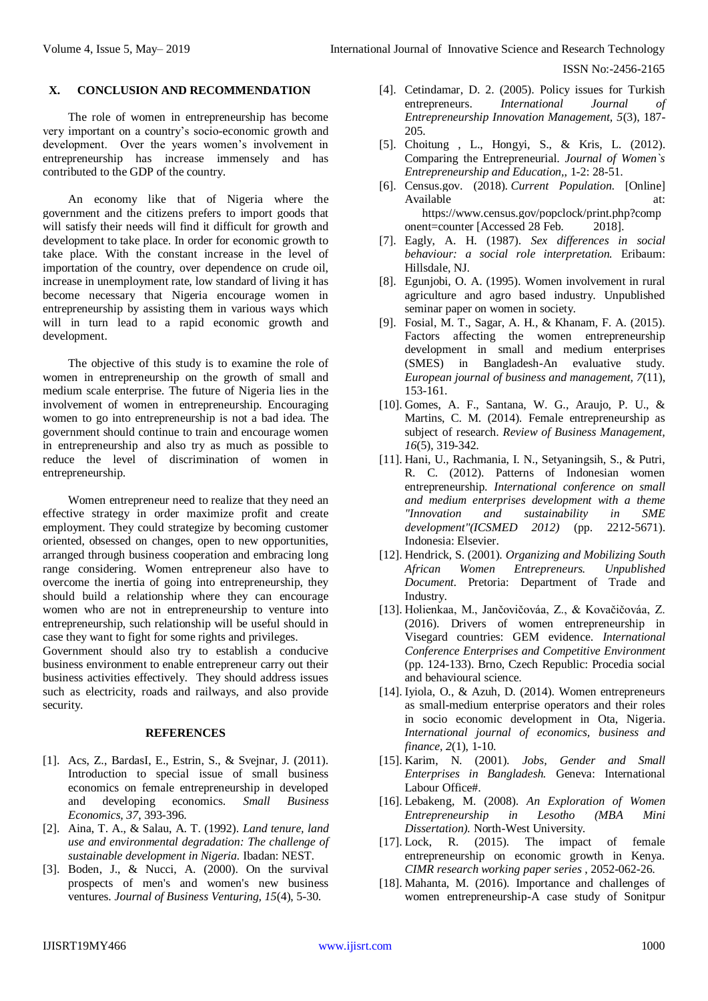#### **X. CONCLUSION AND RECOMMENDATION**

The role of women in entrepreneurship has become very important on a country's socio-economic growth and development. Over the years women's involvement in entrepreneurship has increase immensely and has contributed to the GDP of the country.

An economy like that of Nigeria where the government and the citizens prefers to import goods that will satisfy their needs will find it difficult for growth and development to take place. In order for economic growth to take place. With the constant increase in the level of importation of the country, over dependence on crude oil, increase in unemployment rate, low standard of living it has become necessary that Nigeria encourage women in entrepreneurship by assisting them in various ways which will in turn lead to a rapid economic growth and development.

The objective of this study is to examine the role of women in entrepreneurship on the growth of small and medium scale enterprise. The future of Nigeria lies in the involvement of women in entrepreneurship. Encouraging women to go into entrepreneurship is not a bad idea. The government should continue to train and encourage women in entrepreneurship and also try as much as possible to reduce the level of discrimination of women in entrepreneurship.

Women entrepreneur need to realize that they need an effective strategy in order maximize profit and create employment. They could strategize by becoming customer oriented, obsessed on changes, open to new opportunities, arranged through business cooperation and embracing long range considering. Women entrepreneur also have to overcome the inertia of going into entrepreneurship, they should build a relationship where they can encourage women who are not in entrepreneurship to venture into entrepreneurship, such relationship will be useful should in case they want to fight for some rights and privileges.

Government should also try to establish a conducive business environment to enable entrepreneur carry out their business activities effectively. They should address issues such as electricity, roads and railways, and also provide security.

#### **REFERENCES**

- [1]. Acs, Z., BardasI, E., Estrin, S., & Svejnar, J. (2011). Introduction to special issue of small business economics on female entrepreneurship in developed and developing economics. *Small Business Economics, 37*, 393-396.
- [2]. Aina, T. A., & Salau, A. T. (1992). *Land tenure, land use and environmental degradation: The challenge of sustainable development in Nigeria.* Ibadan: NEST.
- [3]. Boden, J., & Nucci, A. (2000). On the survival prospects of men's and women's new business ventures. *Journal of Business Venturing, 15*(4), 5-30.
- [4]. Cetindamar, D. 2. (2005). Policy issues for Turkish entrepreneurs. *International Journal of Entrepreneurship Innovation Management, 5*(3), 187- 205.
- [5]. Choitung , L., Hongyi, S., & Kris, L. (2012). Comparing the Entrepreneurial. *Journal of Women`s Entrepreneurship and Education,*, 1-2: 28-51.
- [6]. Census.gov. (2018). *Current Population*. [Online] Available at: https://www.census.gov/popclock/print.php?comp onent=counter [Accessed 28 Feb. 2018].
- [7]. Eagly, A. H. (1987). *Sex differences in social behaviour: a social role interpretation.* Eribaum: Hillsdale, NJ.
- [8]. Egunjobi, O. A. (1995). Women involvement in rural agriculture and agro based industry. Unpublished seminar paper on women in society.
- [9]. Fosial, M. T., Sagar, A. H., & Khanam, F. A. (2015). Factors affecting the women entrepreneurship development in small and medium enterprises (SMES) in Bangladesh-An evaluative study. *European journal of business and management, 7*(11), 153-161.
- [10]. Gomes, A. F., Santana, W. G., Araujo, P. U., & Martins, C. M. (2014). Female entrepreneurship as subject of research. *Review of Business Management, 16*(5), 319-342.
- [11]. Hani, U., Rachmania, I. N., Setyaningsih, S., & Putri, R. C. (2012). Patterns of Indonesian women entrepreneurship. *International conference on small and medium enterprises development with a theme "Innovation and sustainability in SME development"(ICSMED 2012)* (pp. 2212-5671). Indonesia: Elsevier.
- [12]. Hendrick, S. (2001). *Organizing and Mobilizing South African Women Entrepreneurs. Unpublished Document.* Pretoria: Department of Trade and Industry.
- [13]. Holienkaa, M., Jančovičováa, Z., & Kovačičováa, Z. (2016). Drivers of women entrepreneurship in Visegard countries: GEM evidence. *International Conference Enterprises and Competitive Environment* (pp. 124-133). Brno, Czech Republic: Procedia social and behavioural science.
- [14]. Iyiola, O., & Azuh, D. (2014). Women entrepreneurs as small-medium enterprise operators and their roles in socio economic development in Ota, Nigeria. *International journal of economics, business and finance, 2*(1), 1-10.
- [15]. Karim, N. (2001). *Jobs, Gender and Small Enterprises in Bangladesh.* Geneva: International Labour Office#.
- [16]. Lebakeng, M. (2008). *An Exploration of Women Entrepreneurship in Lesotho (MBA Mini Dissertation).* North-West University.
- [17]. Lock, R. (2015). The impact of female entrepreneurship on economic growth in Kenya. *CIMR research working paper series* , 2052-062-26.
- [18]. Mahanta, M. (2016). Importance and challenges of women entrepreneurship-A case study of Sonitpur